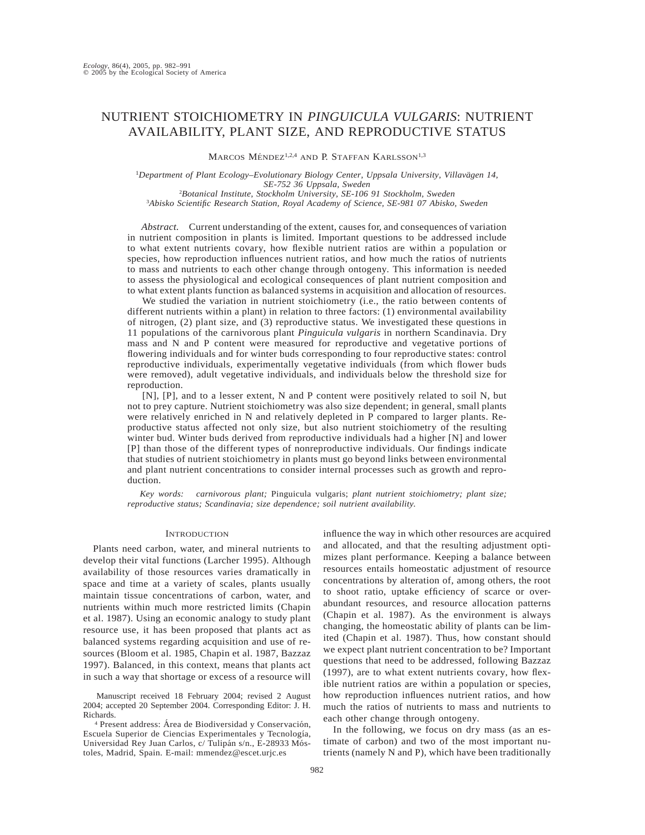# NUTRIENT STOICHIOMETRY IN *PINGUICULA VULGARIS*: NUTRIENT AVAILABILITY, PLANT SIZE, AND REPRODUCTIVE STATUS

MARCOS MÉNDEZ<sup>1,2,4</sup> AND P. STAFFAN KARLSSON<sup>1,3</sup>

<sup>1</sup>Department of Plant Ecology–Evolutionary Biology Center, Uppsala University, Villavägen 14, *SE-752 36 Uppsala, Sweden* <sup>2</sup>*Botanical Institute, Stockholm University, SE-106 91 Stockholm, Sweden*

3 *Abisko Scientific Research Station, Royal Academy of Science, SE-981 07 Abisko, Sweden*

*Abstract.* Current understanding of the extent, causes for, and consequences of variation in nutrient composition in plants is limited. Important questions to be addressed include to what extent nutrients covary, how flexible nutrient ratios are within a population or species, how reproduction influences nutrient ratios, and how much the ratios of nutrients to mass and nutrients to each other change through ontogeny. This information is needed to assess the physiological and ecological consequences of plant nutrient composition and to what extent plants function as balanced systems in acquisition and allocation of resources.

We studied the variation in nutrient stoichiometry (i.e., the ratio between contents of different nutrients within a plant) in relation to three factors: (1) environmental availability of nitrogen, (2) plant size, and (3) reproductive status. We investigated these questions in 11 populations of the carnivorous plant *Pinguicula vulgaris* in northern Scandinavia. Dry mass and N and P content were measured for reproductive and vegetative portions of flowering individuals and for winter buds corresponding to four reproductive states: control reproductive individuals, experimentally vegetative individuals (from which flower buds were removed), adult vegetative individuals, and individuals below the threshold size for reproduction.

[N], [P], and to a lesser extent, N and P content were positively related to soil N, but not to prey capture. Nutrient stoichiometry was also size dependent; in general, small plants were relatively enriched in N and relatively depleted in P compared to larger plants. Reproductive status affected not only size, but also nutrient stoichiometry of the resulting winter bud. Winter buds derived from reproductive individuals had a higher [N] and lower [P] than those of the different types of nonreproductive individuals. Our findings indicate that studies of nutrient stoichiometry in plants must go beyond links between environmental and plant nutrient concentrations to consider internal processes such as growth and reproduction.

*Key words: carnivorous plant;* Pinguicula vulgaris; *plant nutrient stoichiometry; plant size; reproductive status; Scandinavia; size dependence; soil nutrient availability.*

#### **INTRODUCTION**

Plants need carbon, water, and mineral nutrients to develop their vital functions (Larcher 1995). Although availability of those resources varies dramatically in space and time at a variety of scales, plants usually maintain tissue concentrations of carbon, water, and nutrients within much more restricted limits (Chapin et al. 1987). Using an economic analogy to study plant resource use, it has been proposed that plants act as balanced systems regarding acquisition and use of resources (Bloom et al. 1985, Chapin et al. 1987, Bazzaz 1997). Balanced, in this context, means that plants act in such a way that shortage or excess of a resource will

Manuscript received 18 February 2004; revised 2 August 2004; accepted 20 September 2004. Corresponding Editor: J. H. Richards.

<sup>4</sup> Present address: Área de Biodiversidad y Conservación, Escuela Superior de Ciencias Experimentales y Tecnología, Universidad Rey Juan Carlos, c/ Tulipán s/n., E-28933 Móstoles, Madrid, Spain. E-mail: mmendez@escet.urjc.es

influence the way in which other resources are acquired and allocated, and that the resulting adjustment optimizes plant performance. Keeping a balance between resources entails homeostatic adjustment of resource concentrations by alteration of, among others, the root to shoot ratio, uptake efficiency of scarce or overabundant resources, and resource allocation patterns (Chapin et al. 1987). As the environment is always changing, the homeostatic ability of plants can be limited (Chapin et al. 1987). Thus, how constant should we expect plant nutrient concentration to be? Important questions that need to be addressed, following Bazzaz (1997), are to what extent nutrients covary, how flexible nutrient ratios are within a population or species, how reproduction influences nutrient ratios, and how much the ratios of nutrients to mass and nutrients to each other change through ontogeny.

In the following, we focus on dry mass (as an estimate of carbon) and two of the most important nutrients (namely N and P), which have been traditionally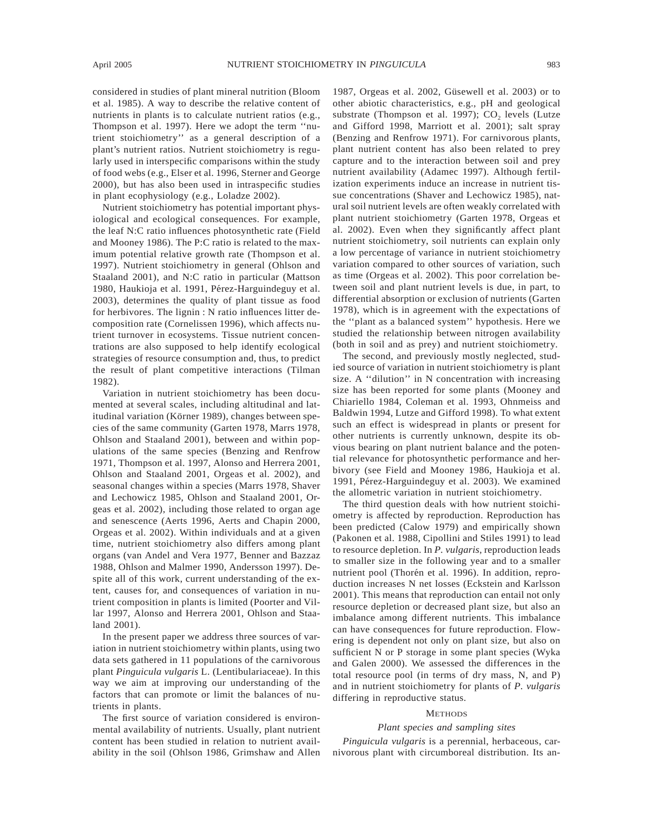considered in studies of plant mineral nutrition (Bloom et al. 1985). A way to describe the relative content of nutrients in plants is to calculate nutrient ratios (e.g., Thompson et al. 1997). Here we adopt the term ''nutrient stoichiometry'' as a general description of a plant's nutrient ratios. Nutrient stoichiometry is regularly used in interspecific comparisons within the study of food webs (e.g., Elser et al. 1996, Sterner and George 2000), but has also been used in intraspecific studies in plant ecophysiology (e.g., Loladze 2002).

Nutrient stoichiometry has potential important physiological and ecological consequences. For example, the leaf N:C ratio influences photosynthetic rate (Field and Mooney 1986). The P:C ratio is related to the maximum potential relative growth rate (Thompson et al. 1997). Nutrient stoichiometry in general (Ohlson and Staaland 2001), and N:C ratio in particular (Mattson 1980, Haukioja et al. 1991, Pérez-Harguindeguy et al. 2003), determines the quality of plant tissue as food for herbivores. The lignin : N ratio influences litter decomposition rate (Cornelissen 1996), which affects nutrient turnover in ecosystems. Tissue nutrient concentrations are also supposed to help identify ecological strategies of resource consumption and, thus, to predict the result of plant competitive interactions (Tilman 1982).

Variation in nutrient stoichiometry has been documented at several scales, including altitudinal and latitudinal variation (Körner 1989), changes between species of the same community (Garten 1978, Marrs 1978, Ohlson and Staaland 2001), between and within populations of the same species (Benzing and Renfrow 1971, Thompson et al. 1997, Alonso and Herrera 2001, Ohlson and Staaland 2001, Orgeas et al. 2002), and seasonal changes within a species (Marrs 1978, Shaver and Lechowicz 1985, Ohlson and Staaland 2001, Orgeas et al. 2002), including those related to organ age and senescence (Aerts 1996, Aerts and Chapin 2000, Orgeas et al. 2002). Within individuals and at a given time, nutrient stoichiometry also differs among plant organs (van Andel and Vera 1977, Benner and Bazzaz 1988, Ohlson and Malmer 1990, Andersson 1997). Despite all of this work, current understanding of the extent, causes for, and consequences of variation in nutrient composition in plants is limited (Poorter and Villar 1997, Alonso and Herrera 2001, Ohlson and Staaland 2001).

In the present paper we address three sources of variation in nutrient stoichiometry within plants, using two data sets gathered in 11 populations of the carnivorous plant *Pinguicula vulgaris* L. (Lentibulariaceae). In this way we aim at improving our understanding of the factors that can promote or limit the balances of nutrients in plants.

The first source of variation considered is environmental availability of nutrients. Usually, plant nutrient content has been studied in relation to nutrient availability in the soil (Ohlson 1986, Grimshaw and Allen 1987, Orgeas et al. 2002, Güsewell et al. 2003) or to other abiotic characteristics, e.g., pH and geological substrate (Thompson et al. 1997);  $CO<sub>2</sub>$  levels (Lutze and Gifford 1998, Marriott et al. 2001); salt spray (Benzing and Renfrow 1971). For carnivorous plants, plant nutrient content has also been related to prey capture and to the interaction between soil and prey nutrient availability (Adamec 1997). Although fertilization experiments induce an increase in nutrient tissue concentrations (Shaver and Lechowicz 1985), natural soil nutrient levels are often weakly correlated with plant nutrient stoichiometry (Garten 1978, Orgeas et al. 2002). Even when they significantly affect plant nutrient stoichiometry, soil nutrients can explain only a low percentage of variance in nutrient stoichiometry variation compared to other sources of variation, such as time (Orgeas et al. 2002). This poor correlation between soil and plant nutrient levels is due, in part, to differential absorption or exclusion of nutrients (Garten 1978), which is in agreement with the expectations of the ''plant as a balanced system'' hypothesis. Here we studied the relationship between nitrogen availability (both in soil and as prey) and nutrient stoichiometry.

The second, and previously mostly neglected, studied source of variation in nutrient stoichiometry is plant size. A ''dilution'' in N concentration with increasing size has been reported for some plants (Mooney and Chiariello 1984, Coleman et al. 1993, Ohnmeiss and Baldwin 1994, Lutze and Gifford 1998). To what extent such an effect is widespread in plants or present for other nutrients is currently unknown, despite its obvious bearing on plant nutrient balance and the potential relevance for photosynthetic performance and herbivory (see Field and Mooney 1986, Haukioja et al. 1991, Pérez-Harguindeguy et al. 2003). We examined the allometric variation in nutrient stoichiometry.

The third question deals with how nutrient stoichiometry is affected by reproduction. Reproduction has been predicted (Calow 1979) and empirically shown (Pakonen et al. 1988, Cipollini and Stiles 1991) to lead to resource depletion. In *P. vulgaris*, reproduction leads to smaller size in the following year and to a smaller nutrient pool (Thorén et al. 1996). In addition, reproduction increases N net losses (Eckstein and Karlsson 2001). This means that reproduction can entail not only resource depletion or decreased plant size, but also an imbalance among different nutrients. This imbalance can have consequences for future reproduction. Flowering is dependent not only on plant size, but also on sufficient N or P storage in some plant species (Wyka and Galen 2000). We assessed the differences in the total resource pool (in terms of dry mass, N, and P) and in nutrient stoichiometry for plants of *P. vulgaris* differing in reproductive status.

#### **METHODS**

#### *Plant species and sampling sites*

*Pinguicula vulgaris* is a perennial, herbaceous, carnivorous plant with circumboreal distribution. Its an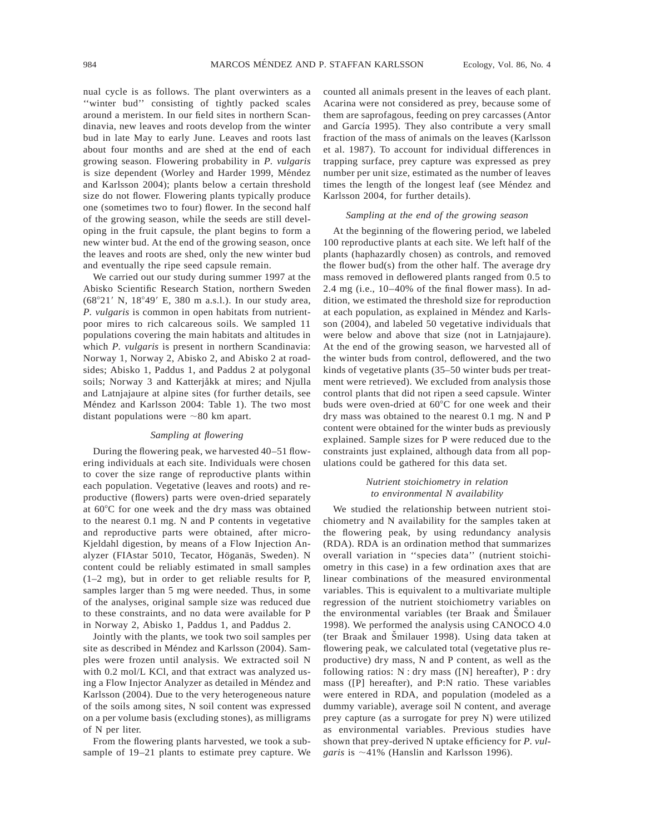nual cycle is as follows. The plant overwinters as a ''winter bud'' consisting of tightly packed scales around a meristem. In our field sites in northern Scandinavia, new leaves and roots develop from the winter bud in late May to early June. Leaves and roots last about four months and are shed at the end of each growing season. Flowering probability in *P. vulgaris* is size dependent (Worley and Harder 1999, Méndez and Karlsson 2004); plants below a certain threshold size do not flower. Flowering plants typically produce one (sometimes two to four) flower. In the second half of the growing season, while the seeds are still developing in the fruit capsule, the plant begins to form a new winter bud. At the end of the growing season, once the leaves and roots are shed, only the new winter bud and eventually the ripe seed capsule remain.

We carried out our study during summer 1997 at the Abisko Scientific Research Station, northern Sweden  $(68°21' N, 18°49' E, 380 m a.s.l.).$  In our study area, *P. vulgaris* is common in open habitats from nutrientpoor mires to rich calcareous soils. We sampled 11 populations covering the main habitats and altitudes in which *P. vulgaris* is present in northern Scandinavia: Norway 1, Norway 2, Abisko 2, and Abisko 2 at roadsides; Abisko 1, Paddus 1, and Paddus 2 at polygonal soils; Norway 3 and Katterjåkk at mires; and Njulla and Latnjajaure at alpine sites (for further details, see Méndez and Karlsson 2004: Table 1). The two most distant populations were  $\sim$ 80 km apart.

## *Sampling at flowering*

During the flowering peak, we harvested 40–51 flowering individuals at each site. Individuals were chosen to cover the size range of reproductive plants within each population. Vegetative (leaves and roots) and reproductive (flowers) parts were oven-dried separately at 60°C for one week and the dry mass was obtained to the nearest 0.1 mg. N and P contents in vegetative and reproductive parts were obtained, after micro-Kjeldahl digestion, by means of a Flow Injection Analyzer (FIAstar 5010, Tecator, Höganäs, Sweden). N content could be reliably estimated in small samples (1–2 mg), but in order to get reliable results for P, samples larger than 5 mg were needed. Thus, in some of the analyses, original sample size was reduced due to these constraints, and no data were available for P in Norway 2, Abisko 1, Paddus 1, and Paddus 2.

Jointly with the plants, we took two soil samples per site as described in Méndez and Karlsson (2004). Samples were frozen until analysis. We extracted soil N with 0.2 mol/L KCl, and that extract was analyzed using a Flow Injector Analyzer as detailed in Méndez and Karlsson (2004). Due to the very heterogeneous nature of the soils among sites, N soil content was expressed on a per volume basis (excluding stones), as milligrams of N per liter.

From the flowering plants harvested, we took a subsample of 19–21 plants to estimate prey capture. We counted all animals present in the leaves of each plant. Acarina were not considered as prey, because some of them are saprofagous, feeding on prey carcasses (Antor and García 1995). They also contribute a very small fraction of the mass of animals on the leaves (Karlsson et al. 1987). To account for individual differences in trapping surface, prey capture was expressed as prey number per unit size, estimated as the number of leaves times the length of the longest leaf (see Méndez and Karlsson 2004, for further details).

# *Sampling at the end of the growing season*

At the beginning of the flowering period, we labeled 100 reproductive plants at each site. We left half of the plants (haphazardly chosen) as controls, and removed the flower bud(s) from the other half. The average dry mass removed in deflowered plants ranged from 0.5 to 2.4 mg (i.e., 10–40% of the final flower mass). In addition, we estimated the threshold size for reproduction at each population, as explained in Méndez and Karlsson (2004), and labeled 50 vegetative individuals that were below and above that size (not in Latnjajaure). At the end of the growing season, we harvested all of the winter buds from control, deflowered, and the two kinds of vegetative plants (35–50 winter buds per treatment were retrieved). We excluded from analysis those control plants that did not ripen a seed capsule. Winter buds were oven-dried at  $60^{\circ}$ C for one week and their dry mass was obtained to the nearest 0.1 mg. N and P content were obtained for the winter buds as previously explained. Sample sizes for P were reduced due to the constraints just explained, although data from all populations could be gathered for this data set.

## *Nutrient stoichiometry in relation to environmental N availability*

We studied the relationship between nutrient stoichiometry and N availability for the samples taken at the flowering peak, by using redundancy analysis (RDA). RDA is an ordination method that summarizes overall variation in ''species data'' (nutrient stoichiometry in this case) in a few ordination axes that are linear combinations of the measured environmental variables. This is equivalent to a multivariate multiple regression of the nutrient stoichiometry variables on the environmental variables (ter Braak and Šmilauer 1998). We performed the analysis using CANOCO 4.0 (ter Braak and Šmilauer 1998). Using data taken at flowering peak, we calculated total (vegetative plus reproductive) dry mass, N and P content, as well as the following ratios:  $N : dry$  mass ([N] hereafter),  $P : dry$ mass ([P] hereafter), and P:N ratio. These variables were entered in RDA, and population (modeled as a dummy variable), average soil N content, and average prey capture (as a surrogate for prey N) were utilized as environmental variables. Previous studies have shown that prey-derived N uptake efficiency for *P. vulgaris* is  $~41\%$  (Hanslin and Karlsson 1996).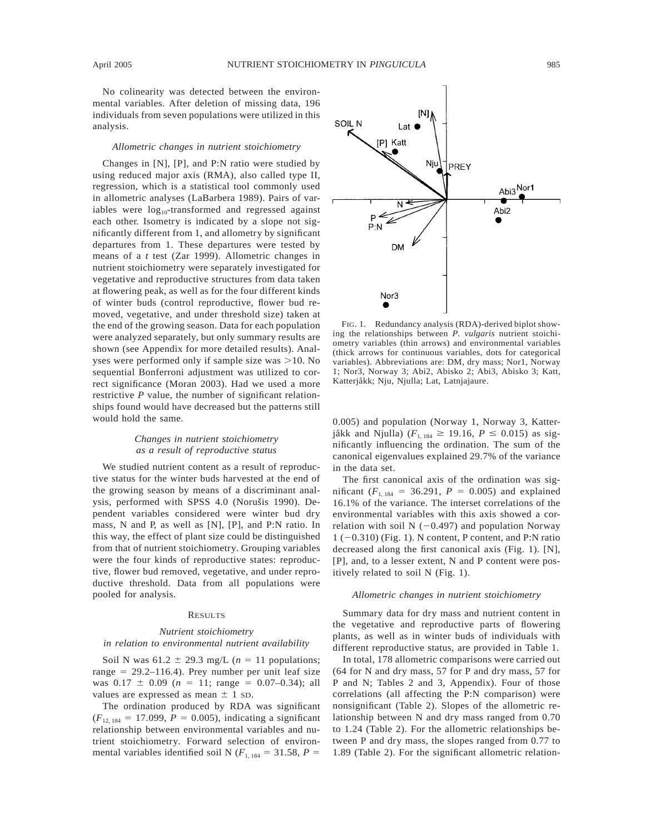No colinearity was detected between the environmental variables. After deletion of missing data, 196 individuals from seven populations were utilized in this analysis.

#### *Allometric changes in nutrient stoichiometry*

Changes in [N], [P], and P:N ratio were studied by using reduced major axis (RMA), also called type II, regression, which is a statistical tool commonly used in allometric analyses (LaBarbera 1989). Pairs of variables were  $log_{10}$ -transformed and regressed against each other. Isometry is indicated by a slope not significantly different from 1, and allometry by significant departures from 1. These departures were tested by means of a *t* test (Zar 1999). Allometric changes in nutrient stoichiometry were separately investigated for vegetative and reproductive structures from data taken at flowering peak, as well as for the four different kinds of winter buds (control reproductive, flower bud removed, vegetative, and under threshold size) taken at the end of the growing season. Data for each population were analyzed separately, but only summary results are shown (see Appendix for more detailed results). Analyses were performed only if sample size was  $>10$ . No sequential Bonferroni adjustment was utilized to correct significance (Moran 2003). Had we used a more restrictive *P* value, the number of significant relationships found would have decreased but the patterns still would hold the same.

## *Changes in nutrient stoichiometry as a result of reproductive status*

We studied nutrient content as a result of reproductive status for the winter buds harvested at the end of the growing season by means of a discriminant analysis, performed with SPSS 4.0 (Norušis 1990). Dependent variables considered were winter bud dry mass, N and P, as well as [N], [P], and P:N ratio. In this way, the effect of plant size could be distinguished from that of nutrient stoichiometry. Grouping variables were the four kinds of reproductive states: reproductive, flower bud removed, vegetative, and under reproductive threshold. Data from all populations were pooled for analysis.

#### RESULTS

#### *Nutrient stoichiometry*

# *in relation to environmental nutrient availability*

Soil N was  $61.2 \pm 29.3$  mg/L ( $n = 11$  populations; range =  $29.2-116.4$ ). Prey number per unit leaf size was  $0.17 \pm 0.09$  ( $n = 11$ ; range = 0.07–0.34); all values are expressed as mean  $\pm$  1 sD.

The ordination produced by RDA was significant  $(F_{12, 184} = 17.099, P = 0.005)$ , indicating a significant relationship between environmental variables and nutrient stoichiometry. Forward selection of environmental variables identified soil N ( $F_{1, 184} = 31.58$ ,  $P =$ 



FIG. 1. Redundancy analysis (RDA)-derived biplot showing the relationships between *P. vulgaris* nutrient stoichiometry variables (thin arrows) and environmental variables (thick arrows for continuous variables, dots for categorical variables). Abbreviations are: DM, dry mass; Nor1, Norway 1; Nor3, Norway 3; Abi2, Abisko 2; Abi3, Abisko 3; Katt, Katterjåkk; Nju, Njulla; Lat, Latnjajaure.

0.005) and population (Norway 1, Norway 3, Katterjåkk and Njulla) ( $F_{1, 184} \ge 19.16, P \le 0.015$ ) as significantly influencing the ordination. The sum of the canonical eigenvalues explained 29.7% of the variance in the data set.

The first canonical axis of the ordination was significant  $(F_{1, 184} = 36.291, P = 0.005)$  and explained 16.1% of the variance. The interset correlations of the environmental variables with this axis showed a correlation with soil N  $(-0.497)$  and population Norway  $1 (-0.310)$  (Fig. 1). N content, P content, and P:N ratio decreased along the first canonical axis (Fig. 1). [N], [P], and, to a lesser extent, N and P content were positively related to soil N (Fig. 1).

### *Allometric changes in nutrient stoichiometry*

Summary data for dry mass and nutrient content in the vegetative and reproductive parts of flowering plants, as well as in winter buds of individuals with different reproductive status, are provided in Table 1.

In total, 178 allometric comparisons were carried out (64 for N and dry mass, 57 for P and dry mass, 57 for P and N; Tables 2 and 3, Appendix). Four of those correlations (all affecting the P:N comparison) were nonsignificant (Table 2). Slopes of the allometric relationship between N and dry mass ranged from 0.70 to 1.24 (Table 2). For the allometric relationships between P and dry mass, the slopes ranged from 0.77 to 1.89 (Table 2). For the significant allometric relation-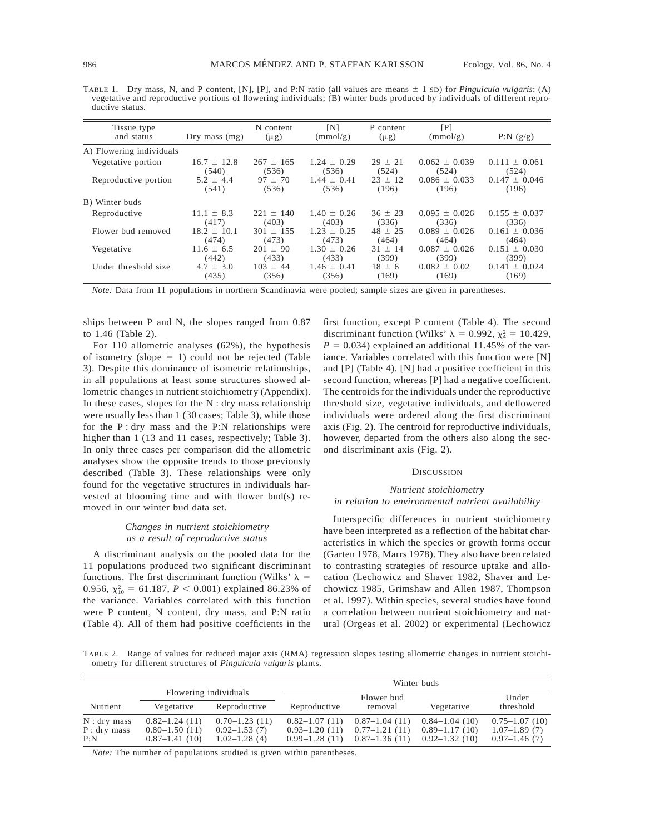TABLE 1. Dry mass, N, and P content, [N], [P], and P:N ratio (all values are means  $\pm$  1 sD) for *Pinguicula vulgaris*: (A) vegetative and reproductive portions of flowering individuals; (B) winter buds produced by individuals of different reproductive status.

| Tissue type<br>and status | $Dry$ mass $(mg)$ | N content<br>$(\mu g)$ | [N]<br>(mmol/g) | P content<br>$(\mu g)$ | [P]<br>(mmol/g)   | $P:N$ (g/g)       |
|---------------------------|-------------------|------------------------|-----------------|------------------------|-------------------|-------------------|
| A) Flowering individuals  |                   |                        |                 |                        |                   |                   |
| Vegetative portion        | $16.7 \pm 12.8$   | $267 \pm 165$          | $1.24 \pm 0.29$ | $29 \pm 21$            | $0.062 \pm 0.039$ | $0.111 \pm 0.061$ |
|                           | (540)             | (536)                  | (536)           | (524)                  | (524)             | (524)             |
| Reproductive portion      | $5.2 \pm 4.4$     | $97 \pm 70$            | $1.44 \pm 0.41$ | $23 \pm 12$            | $0.086 \pm 0.033$ | $0.147 \pm 0.046$ |
|                           | (541)             | (536)                  | (536)           | (196)                  | (196)             | (196)             |
| B) Winter buds            |                   |                        |                 |                        |                   |                   |
| Reproductive              | $11.1 \pm 8.3$    | $221 \pm 140$          | $1.40 \pm 0.26$ | $36 \pm 23$            | $0.095 \pm 0.026$ | $0.155 \pm 0.037$ |
|                           | (417)             | (403)                  | (403)           | (336)                  | (336)             | (336)             |
| Flower bud removed        | $18.2 \pm 10.1$   | $301 \pm 155$          | $1.23 \pm 0.25$ | $48 \pm 25$            | $0.089 \pm 0.026$ | $0.161 \pm 0.036$ |
|                           | (474)             | (473)                  | (473)           | (464)                  | (464)             | (464)             |
| Vegetative                | $11.6 \pm 6.5$    | $201 \pm 90$           | $1.30 \pm 0.26$ | $31 \pm 14$            | $0.087 \pm 0.026$ | $0.151 \pm 0.030$ |
|                           | (442)             | (433)                  | (433)           | (399)                  | (399)             | (399)             |
| Under threshold size      | $4.7 \pm 3.0$     | $103 \pm 44$           | $1.46 \pm 0.41$ | $18 \pm 6$             | $0.082 \pm 0.02$  | $0.141 \pm 0.024$ |
|                           | (435)             | (356)                  | (356)           | (169)                  | (169)             | (169)             |

*Note:* Data from 11 populations in northern Scandinavia were pooled; sample sizes are given in parentheses.

ships between P and N, the slopes ranged from 0.87 to 1.46 (Table 2).

For 110 allometric analyses (62%), the hypothesis of isometry (slope  $= 1$ ) could not be rejected (Table 3). Despite this dominance of isometric relationships, in all populations at least some structures showed allometric changes in nutrient stoichiometry (Appendix). In these cases, slopes for the  $N :$  dry mass relationship were usually less than 1 (30 cases; Table 3), while those for the  $P$  : dry mass and the  $P:N$  relationships were higher than 1 (13 and 11 cases, respectively; Table 3). In only three cases per comparison did the allometric analyses show the opposite trends to those previously described (Table 3). These relationships were only found for the vegetative structures in individuals harvested at blooming time and with flower bud(s) removed in our winter bud data set.

## *Changes in nutrient stoichiometry as a result of reproductive status*

A discriminant analysis on the pooled data for the 11 populations produced two significant discriminant functions. The first discriminant function (Wilks'  $\lambda$  = 0.956,  $\chi^2_{10} = 61.187$ ,  $P < 0.001$ ) explained 86.23% of the variance. Variables correlated with this function were P content, N content, dry mass, and P:N ratio (Table 4). All of them had positive coefficients in the first function, except P content (Table 4). The second discriminant function (Wilks'  $\lambda = 0.992$ ,  $\chi^2 = 10.429$ ,  $P = 0.034$ ) explained an additional 11.45% of the variance. Variables correlated with this function were [N] and [P] (Table 4). [N] had a positive coefficient in this second function, whereas [P] had a negative coefficient. The centroids for the individuals under the reproductive threshold size, vegetative individuals, and deflowered individuals were ordered along the first discriminant axis (Fig. 2). The centroid for reproductive individuals, however, departed from the others also along the second discriminant axis (Fig. 2).

#### **DISCUSSION**

## *Nutrient stoichiometry in relation to environmental nutrient availability*

Interspecific differences in nutrient stoichiometry have been interpreted as a reflection of the habitat characteristics in which the species or growth forms occur (Garten 1978, Marrs 1978). They also have been related to contrasting strategies of resource uptake and allocation (Lechowicz and Shaver 1982, Shaver and Lechowicz 1985, Grimshaw and Allen 1987, Thompson et al. 1997). Within species, several studies have found a correlation between nutrient stoichiometry and natural (Orgeas et al. 2002) or experimental (Lechowicz

TABLE 2. Range of values for reduced major axis (RMA) regression slopes testing allometric changes in nutrient stoichiometry for different structures of *Pinguicula vulgaris* plants.

|                                      |                                                             |                                                           | Winter buds                                                 |                                                           |                                                             |                                                           |  |
|--------------------------------------|-------------------------------------------------------------|-----------------------------------------------------------|-------------------------------------------------------------|-----------------------------------------------------------|-------------------------------------------------------------|-----------------------------------------------------------|--|
|                                      | Flowering individuals                                       |                                                           | Flower bud                                                  |                                                           |                                                             | Under                                                     |  |
| Nutrient                             | Vegetative                                                  | Reproductive                                              | Reproductive                                                | removal                                                   | Vegetative                                                  | threshold                                                 |  |
| $N:$ dry mass<br>P: dry mass<br>P: N | $0.82 - 1.24(11)$<br>$0.80 - 1.50(11)$<br>$0.87 - 1.41(10)$ | $0.70 - 1.23(11)$<br>$0.92 - 1.53(7)$<br>$1.02 - 1.28(4)$ | $0.82 - 1.07(11)$<br>$0.93 - 1.20(11)$<br>$0.99 - 1.28(11)$ | $0.87-1.04(11)$<br>$0.77 - 1.21(11)$<br>$0.87 - 1.36(11)$ | $0.84 - 1.04(10)$<br>$0.89 - 1.17(10)$<br>$0.92 - 1.32(10)$ | $0.75 - 1.07(10)$<br>$1.07 - 1.89(7)$<br>$0.97 - 1.46(7)$ |  |

*Note:* The number of populations studied is given within parentheses.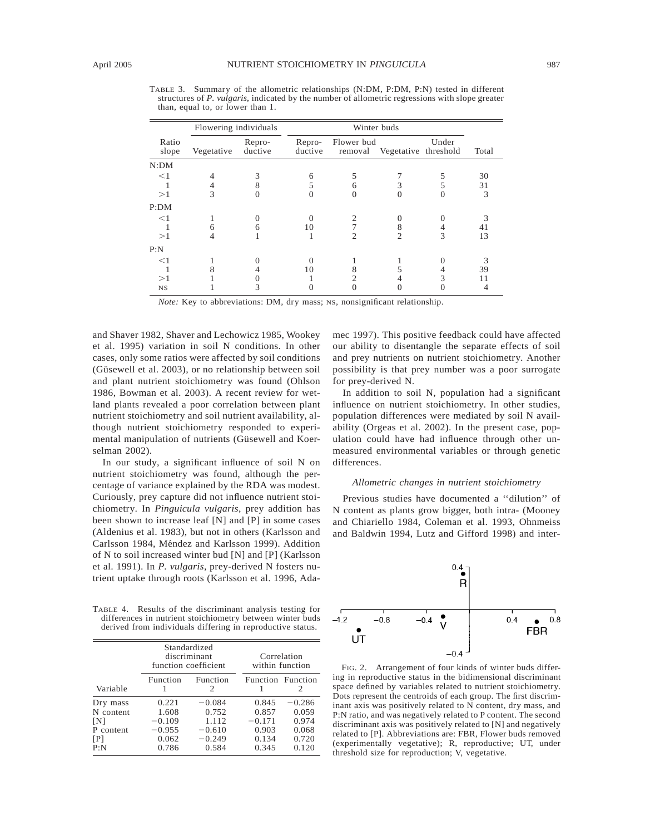P:N

|                | Flowering individuals |                   | Winter buds |                                                    |                  |       |       |
|----------------|-----------------------|-------------------|-------------|----------------------------------------------------|------------------|-------|-------|
| Ratio<br>slope | Vegetative            | Repro-<br>ductive | Repro-      | Flower bud<br>ductive removal Vegetative threshold |                  | Under | Total |
| N:DM           |                       |                   |             |                                                    |                  |       |       |
| $\leq$ 1       | 4                     |                   | 6           |                                                    |                  |       | 30    |
|                |                       | 8                 |             | 6                                                  |                  |       | 31    |
| >1             |                       |                   | 0           |                                                    | $\left( \right)$ |       |       |

 $\leq 1$  1 0 0 0 2 0 0 3 1 6 6 10 7 8 4 41  $>1$  4 1 1 2 2 3 13

 $\leq 1$  1 0 0 1 1 0 3 1 8 4 10 8 5 4 39  $>1$  1 0 1 2 4 3 11 NS 1 3 0 0 0 0 4

TABLE 3. Summary of the allometric relationships (N:DM, P:DM, P:N) tested in different structures of *P. vulgaris*, indicated by the number of allometric regressions with slope greater than, equal to, or lower than 1.

*Note:* Key to abbreviations: DM, dry mass; NS, nonsignificant relationship.

and Shaver 1982, Shaver and Lechowicz 1985, Wookey et al. 1995) variation in soil N conditions. In other cases, only some ratios were affected by soil conditions (Güsewell et al. 2003), or no relationship between soil and plant nutrient stoichiometry was found (Ohlson 1986, Bowman et al. 2003). A recent review for wetland plants revealed a poor correlation between plant nutrient stoichiometry and soil nutrient availability, although nutrient stoichiometry responded to experimental manipulation of nutrients (Güsewell and Koerselman 2002).

In our study, a significant influence of soil N on nutrient stoichiometry was found, although the percentage of variance explained by the RDA was modest. Curiously, prey capture did not influence nutrient stoichiometry. In *Pinguicula vulgaris*, prey addition has been shown to increase leaf [N] and [P] in some cases (Aldenius et al. 1983), but not in others (Karlsson and Carlsson 1984, Méndez and Karlsson 1999). Addition of N to soil increased winter bud [N] and [P] (Karlsson et al. 1991). In *P. vulgaris*, prey-derived N fosters nutrient uptake through roots (Karlsson et al. 1996, Ada-

TABLE 4. Results of the discriminant analysis testing for differences in nutrient stoichiometry between winter buds derived from individuals differing in reproductive status.

|                                                         |                                                          | Standardized<br>discriminant<br>function coefficient        | Correlation<br>within function                        |                                                       |  |
|---------------------------------------------------------|----------------------------------------------------------|-------------------------------------------------------------|-------------------------------------------------------|-------------------------------------------------------|--|
| Variable                                                | Function                                                 | Function<br>2                                               |                                                       | Function Function<br>2                                |  |
| Dry mass<br>N content<br>ſΝ<br>P content<br>[P]<br>P: N | 0.221<br>1.608<br>$-0.109$<br>$-0.955$<br>0.062<br>0.786 | $-0.084$<br>0.752<br>1.112<br>$-0.610$<br>$-0.249$<br>0.584 | 0.845<br>0.857<br>$-0.171$<br>0.903<br>0.134<br>0.345 | $-0.286$<br>0.059<br>0.974<br>0.068<br>0.720<br>0.120 |  |

mec 1997). This positive feedback could have affected our ability to disentangle the separate effects of soil and prey nutrients on nutrient stoichiometry. Another possibility is that prey number was a poor surrogate for prey-derived N.

In addition to soil N, population had a significant influence on nutrient stoichiometry. In other studies, population differences were mediated by soil N availability (Orgeas et al. 2002). In the present case, population could have had influence through other unmeasured environmental variables or through genetic differences.

#### *Allometric changes in nutrient stoichiometry*

Previous studies have documented a ''dilution'' of N content as plants grow bigger, both intra- (Mooney and Chiariello 1984, Coleman et al. 1993, Ohnmeiss and Baldwin 1994, Lutz and Gifford 1998) and inter-



FIG. 2. Arrangement of four kinds of winter buds differing in reproductive status in the bidimensional discriminant space defined by variables related to nutrient stoichiometry. Dots represent the centroids of each group. The first discriminant axis was positively related to N content, dry mass, and P:N ratio, and was negatively related to P content. The second discriminant axis was positively related to [N] and negatively related to [P]. Abbreviations are: FBR, Flower buds removed (experimentally vegetative); R, reproductive; UT, under threshold size for reproduction; V, vegetative.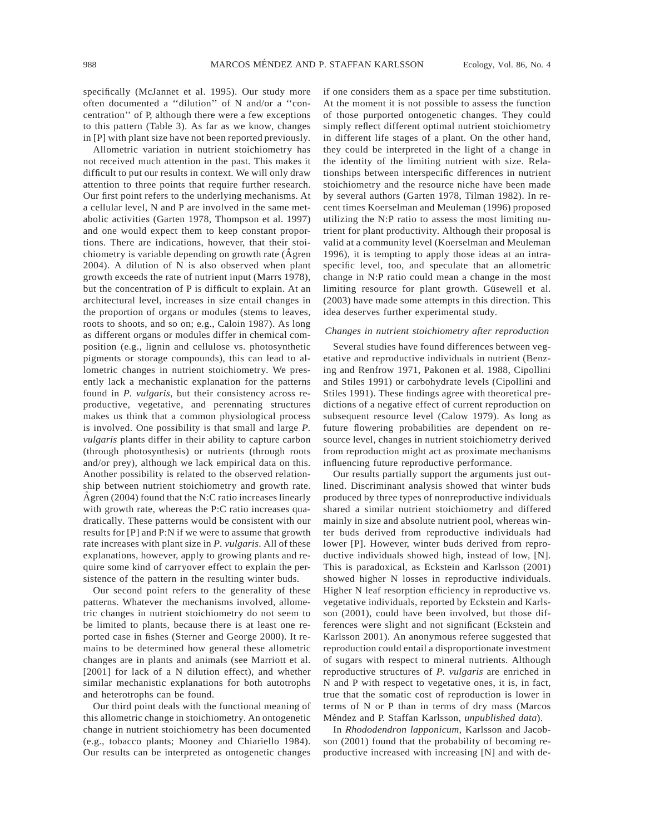specifically (McJannet et al. 1995). Our study more often documented a ''dilution'' of N and/or a ''concentration'' of P, although there were a few exceptions to this pattern (Table 3). As far as we know, changes in [P] with plant size have not been reported previously.

Allometric variation in nutrient stoichiometry has not received much attention in the past. This makes it difficult to put our results in context. We will only draw attention to three points that require further research. Our first point refers to the underlying mechanisms. At a cellular level, N and P are involved in the same metabolic activities (Garten 1978, Thompson et al. 1997) and one would expect them to keep constant proportions. There are indications, however, that their stoichiometry is variable depending on growth rate (Å gren 2004). A dilution of N is also observed when plant growth exceeds the rate of nutrient input (Marrs 1978), but the concentration of P is difficult to explain. At an architectural level, increases in size entail changes in the proportion of organs or modules (stems to leaves, roots to shoots, and so on; e.g., Caloin 1987). As long as different organs or modules differ in chemical composition (e.g., lignin and cellulose vs. photosynthetic pigments or storage compounds), this can lead to allometric changes in nutrient stoichiometry. We presently lack a mechanistic explanation for the patterns found in *P. vulgaris*, but their consistency across reproductive, vegetative, and perennating structures makes us think that a common physiological process is involved. One possibility is that small and large *P. vulgaris* plants differ in their ability to capture carbon (through photosynthesis) or nutrients (through roots and/or prey), although we lack empirical data on this. Another possibility is related to the observed relationship between nutrient stoichiometry and growth rate.  $\text{A}$ gren (2004) found that the N:C ratio increases linearly with growth rate, whereas the P:C ratio increases quadratically. These patterns would be consistent with our results for [P] and P:N if we were to assume that growth rate increases with plant size in *P. vulgaris*. All of these explanations, however, apply to growing plants and require some kind of carryover effect to explain the persistence of the pattern in the resulting winter buds.

Our second point refers to the generality of these patterns. Whatever the mechanisms involved, allometric changes in nutrient stoichiometry do not seem to be limited to plants, because there is at least one reported case in fishes (Sterner and George 2000). It remains to be determined how general these allometric changes are in plants and animals (see Marriott et al. [2001] for lack of a N dilution effect), and whether similar mechanistic explanations for both autotrophs and heterotrophs can be found.

Our third point deals with the functional meaning of this allometric change in stoichiometry. An ontogenetic change in nutrient stoichiometry has been documented (e.g., tobacco plants; Mooney and Chiariello 1984). Our results can be interpreted as ontogenetic changes if one considers them as a space per time substitution. At the moment it is not possible to assess the function of those purported ontogenetic changes. They could simply reflect different optimal nutrient stoichiometry in different life stages of a plant. On the other hand, they could be interpreted in the light of a change in the identity of the limiting nutrient with size. Relationships between interspecific differences in nutrient stoichiometry and the resource niche have been made by several authors (Garten 1978, Tilman 1982). In recent times Koerselman and Meuleman (1996) proposed utilizing the N:P ratio to assess the most limiting nutrient for plant productivity. Although their proposal is valid at a community level (Koerselman and Meuleman 1996), it is tempting to apply those ideas at an intraspecific level, too, and speculate that an allometric change in N:P ratio could mean a change in the most limiting resource for plant growth. Güsewell et al. (2003) have made some attempts in this direction. This idea deserves further experimental study.

## *Changes in nutrient stoichiometry after reproduction*

Several studies have found differences between vegetative and reproductive individuals in nutrient (Benzing and Renfrow 1971, Pakonen et al. 1988, Cipollini and Stiles 1991) or carbohydrate levels (Cipollini and Stiles 1991). These findings agree with theoretical predictions of a negative effect of current reproduction on subsequent resource level (Calow 1979). As long as future flowering probabilities are dependent on resource level, changes in nutrient stoichiometry derived from reproduction might act as proximate mechanisms influencing future reproductive performance.

Our results partially support the arguments just outlined. Discriminant analysis showed that winter buds produced by three types of nonreproductive individuals shared a similar nutrient stoichiometry and differed mainly in size and absolute nutrient pool, whereas winter buds derived from reproductive individuals had lower [P]. However, winter buds derived from reproductive individuals showed high, instead of low, [N]. This is paradoxical, as Eckstein and Karlsson (2001) showed higher N losses in reproductive individuals. Higher N leaf resorption efficiency in reproductive vs. vegetative individuals, reported by Eckstein and Karlsson (2001), could have been involved, but those differences were slight and not significant (Eckstein and Karlsson 2001). An anonymous referee suggested that reproduction could entail a disproportionate investment of sugars with respect to mineral nutrients. Although reproductive structures of *P. vulgaris* are enriched in N and P with respect to vegetative ones, it is, in fact, true that the somatic cost of reproduction is lower in terms of N or P than in terms of dry mass (Marcos Méndez and P. Staffan Karlsson, *unpublished data*).

In *Rhododendron lapponicum*, Karlsson and Jacobson (2001) found that the probability of becoming reproductive increased with increasing [N] and with de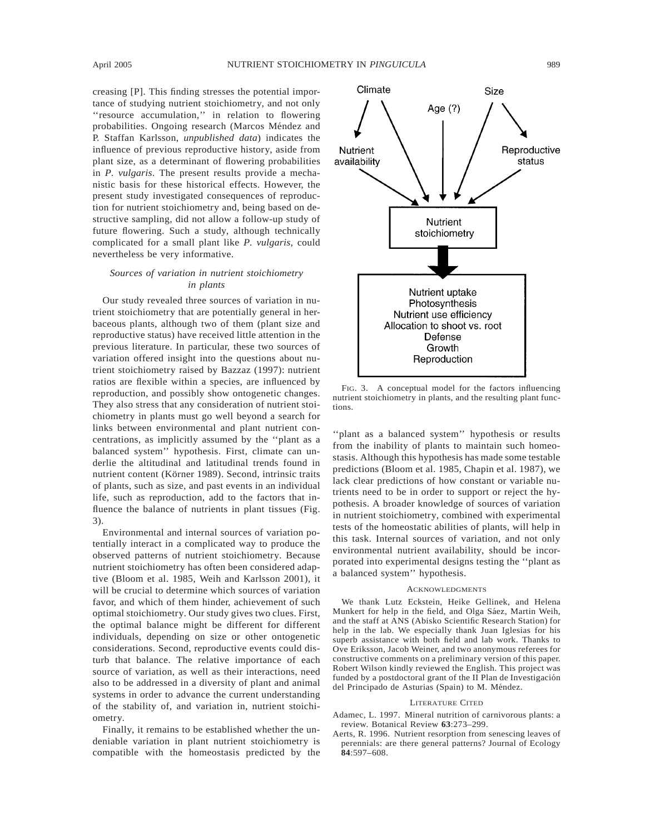creasing [P]. This finding stresses the potential importance of studying nutrient stoichiometry, and not only ''resource accumulation,'' in relation to flowering probabilities. Ongoing research (Marcos Méndez and P. Staffan Karlsson, *unpublished data*) indicates the influence of previous reproductive history, aside from plant size, as a determinant of flowering probabilities in *P. vulgaris*. The present results provide a mechanistic basis for these historical effects. However, the present study investigated consequences of reproduction for nutrient stoichiometry and, being based on destructive sampling, did not allow a follow-up study of future flowering. Such a study, although technically complicated for a small plant like *P. vulgaris*, could nevertheless be very informative.

# *Sources of variation in nutrient stoichiometry in plants*

Our study revealed three sources of variation in nutrient stoichiometry that are potentially general in herbaceous plants, although two of them (plant size and reproductive status) have received little attention in the previous literature. In particular, these two sources of variation offered insight into the questions about nutrient stoichiometry raised by Bazzaz (1997): nutrient ratios are flexible within a species, are influenced by reproduction, and possibly show ontogenetic changes. They also stress that any consideration of nutrient stoichiometry in plants must go well beyond a search for links between environmental and plant nutrient concentrations, as implicitly assumed by the ''plant as a balanced system'' hypothesis. First, climate can underlie the altitudinal and latitudinal trends found in nutrient content (Körner 1989). Second, intrinsic traits of plants, such as size, and past events in an individual life, such as reproduction, add to the factors that influence the balance of nutrients in plant tissues (Fig. 3).

Environmental and internal sources of variation potentially interact in a complicated way to produce the observed patterns of nutrient stoichiometry. Because nutrient stoichiometry has often been considered adaptive (Bloom et al. 1985, Weih and Karlsson 2001), it will be crucial to determine which sources of variation favor, and which of them hinder, achievement of such optimal stoichiometry. Our study gives two clues. First, the optimal balance might be different for different individuals, depending on size or other ontogenetic considerations. Second, reproductive events could disturb that balance. The relative importance of each source of variation, as well as their interactions, need also to be addressed in a diversity of plant and animal systems in order to advance the current understanding of the stability of, and variation in, nutrient stoichiometry.

Finally, it remains to be established whether the undeniable variation in plant nutrient stoichiometry is compatible with the homeostasis predicted by the



FIG. 3. A conceptual model for the factors influencing nutrient stoichiometry in plants, and the resulting plant functions.

"plant as a balanced system" hypothesis or results from the inability of plants to maintain such homeostasis. Although this hypothesis has made some testable predictions (Bloom et al. 1985, Chapin et al. 1987), we lack clear predictions of how constant or variable nutrients need to be in order to support or reject the hypothesis. A broader knowledge of sources of variation in nutrient stoichiometry, combined with experimental tests of the homeostatic abilities of plants, will help in this task. Internal sources of variation, and not only environmental nutrient availability, should be incorporated into experimental designs testing the ''plant as a balanced system'' hypothesis.

#### ACKNOWLEDGMENTS

We thank Lutz Eckstein, Heike Gellinek, and Helena Munkert for help in the field, and Olga Sáez, Martin Weih, and the staff at ANS (Abisko Scientific Research Station) for help in the lab. We especially thank Juan Iglesias for his superb assistance with both field and lab work. Thanks to Ove Eriksson, Jacob Weiner, and two anonymous referees for constructive comments on a preliminary version of this paper. Robert Wilson kindly reviewed the English. This project was funded by a postdoctoral grant of the II Plan de Investigación del Principado de Asturias (Spain) to M. Méndez.

#### LITERATURE CITED

- Adamec, L. 1997. Mineral nutrition of carnivorous plants: a review. Botanical Review **63**:273–299.
- Aerts, R. 1996. Nutrient resorption from senescing leaves of perennials: are there general patterns? Journal of Ecology **84**:597–608.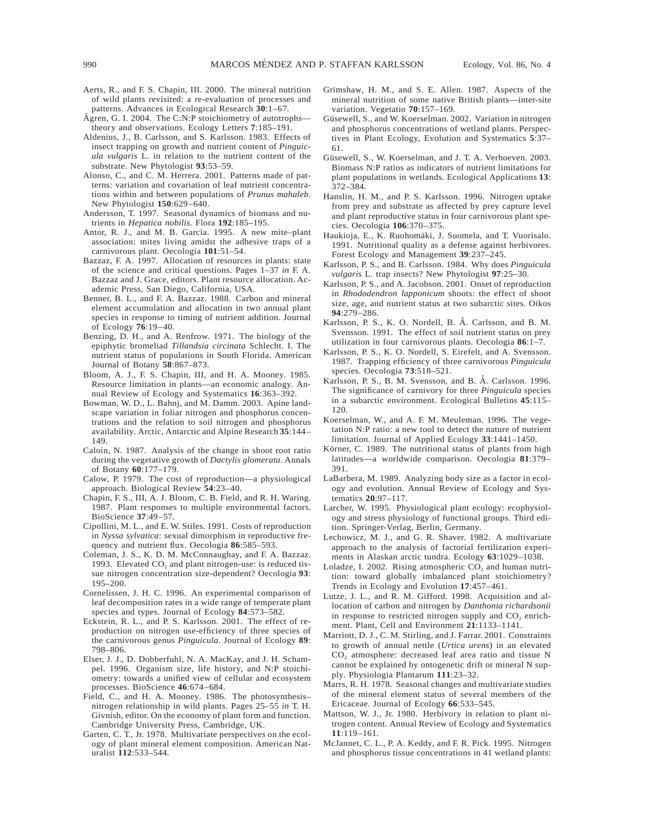- Aerts, R., and F. S. Chapin, III. 2000. The mineral nutrition of wild plants revisited: a re-evaluation of processes and patterns. Advances in Ecological Research **30**:1–67.
- Ågren, G. I. 2004. The C:N:P stoichiometry of autotrophstheory and observations. Ecology Letters **7**:185–191.
- Aldenius, J., B. Carlsson, and S. Karlsson. 1983. Effects of insect trapping on growth and nutrient content of *Pinguicula vulgaris* L. in relation to the nutrient content of the substrate. New Phytologist **93**:53–59.
- Alonso, C., and C. M. Herrera. 2001. Patterns made of patterns: variation and covariation of leaf nutrient concentrations within and between populations of *Prunus mahaleb*. New Phytologist **150**:629–640.
- Andersson, T. 1997. Seasonal dynamics of biomass and nutrients in *Hepatica nobilis*. Flora **192**:185–195.
- Antor, R. J., and M. B. García. 1995. A new mite-plant association: mites living amidst the adhesive traps of a carnivorous plant. Oecologia **101**:51–54.
- Bazzaz, F. A. 1997. Allocation of resources in plants: state of the science and critical questions. Pages 1–37 *in* F. A. Bazzaz and J. Grace, editors. Plant resource allocation. Academic Press, San Diego, California, USA.
- Benner, B. L., and F. A. Bazzaz. 1988. Carbon and mineral element accumulation and allocation in two annual plant species in response to timing of nutrient addition. Journal of Ecology **76**:19–40.
- Benzing, D. H., and A. Renfrow. 1971. The biology of the epiphytic bromeliad *Tillandsia circinata* Schlecht. I. The nutrient status of populations in South Florida. American Journal of Botany **58**:867–873.
- Bloom, A. J., F. S. Chapin, III, and H. A. Mooney. 1985. Resource limitation in plants—an economic analogy. Annual Review of Ecology and Systematics **16**:363–392.
- Bowman, W. D., L. Bahnj, and M. Damm. 2003. Apine landscape variation in foliar nitrogen and phosphorus concentrations and the relation to soil nitrogen and phosphorus availability. Arctic, Antarctic and Alpine Research **35**:144– 149.
- Caloin, N. 1987. Analysis of the change in shoot root ratio during the vegetative growth of *Dactylis glomerata*. Annals of Botany **60**:177–179.
- Calow, P. 1979. The cost of reproduction—a physiological approach. Biological Review **54**:23–40.
- Chapin, F. S., III, A. J. Bloom, C. B. Field, and R. H. Waring. 1987. Plant responses to multiple environmental factors. BioScience **37**:49–57.
- Cipollini, M. L., and E. W. Stiles. 1991. Costs of reproduction in *Nyssa sylvatica*: sexual dimorphism in reproductive frequency and nutrient flux. Oecologia **86**:585–593.
- Coleman, J. S., K. D. M. McConnaughay, and F. A. Bazzaz. 1993. Elevated  $CO<sub>2</sub>$  and plant nitrogen-use: is reduced tissue nitrogen concentration size-dependent? Oecologia **93**: 195–200.
- Cornelissen, J. H. C. 1996. An experimental comparison of leaf decomposition rates in a wide range of temperate plant species and types. Journal of Ecology **84**:573–582.
- Eckstein, R. L., and P. S. Karlsson. 2001. The effect of reproduction on nitrogen use-efficiency of three species of the carnivorous genus *Pinguicula*. Journal of Ecology **89**: 798–806.
- Elser, J. J., D. Dobberfuhl, N. A. MacKay, and J. H. Schampel. 1996. Organism size, life history, and N:P stoichiometry: towards a unified view of cellular and ecosystem processes. BioScience **46**:674–684.
- Field, C., and H. A. Mooney. 1986. The photosynthesis– nitrogen relationship in wild plants. Pages 25–55 *in* T. H. Givnish, editor. On the economy of plant form and function. Cambridge University Press, Cambridge, UK.
- Garten, C. T., Jr. 1978. Multivariate perspectives on the ecology of plant mineral element composition. American Naturalist **112**:533–544.
- Grimshaw, H. M., and S. E. Allen. 1987. Aspects of the mineral nutrition of some native British plants—inter-site variation. Vegetatio **70**:157–169.
- Güsewell, S., and W. Koerselman. 2002. Variation in nitrogen and phosphorus concentrations of wetland plants. Perspectives in Plant Ecology, Evolution and Systematics **5**:37– 61.
- Güsewell, S., W. Koerselman, and J. T. A. Verhoeven. 2003. Biomass N:P ratios as indicators of nutrient limitations for plant populations in wetlands. Ecological Applications **13**: 372–384.
- Hanslin, H. M., and P. S. Karlsson. 1996. Nitrogen uptake from prey and substrate as affected by prey capture level and plant reproductive status in four carnivorous plant species. Oecologia **106**:370–375.
- Haukioja, E., K. Ruohomäki, J. Suomela, and T. Vuorisalo. 1991. Nutritional quality as a defense against herbivores. Forest Ecology and Management **39**:237–245.
- Karlsson, P. S., and B. Carlsson. 1984. Why does *Pinguicula vulgaris* L. trap insects? New Phytologist **97**:25–30.
- Karlsson, P. S., and A. Jacobson. 2001. Onset of reproduction in *Rhododendron lapponicum* shoots: the effect of shoot size, age, and nutrient status at two subarctic sites. Oikos **94**:279–286.
- Karlsson, P. S., K. O. Nordell, B. Å. Carlsson, and B. M. Svensson. 1991. The effect of soil nutrient status on prey utilization in four carnivorous plants. Oecologia **86**:1–7.
- Karlsson, P. S., K. O. Nordell, S. Eirefelt, and A. Svensson. 1987. Trapping efficiency of three carnivorous *Pinguicula* species. Oecologia **73**:518–521.
- Karlsson, P. S., B. M. Svensson, and B. Å. Carlsson. 1996. The significance of carnivory for three *Pinguicula* species in a subarctic environment. Ecological Bulletins **45**:115– 120.
- Koerselman, W., and A. F. M. Meuleman. 1996. The vegetation N:P ratio: a new tool to detect the nature of nutrient limitation. Journal of Applied Ecology **33**:1441–1450.
- Körner, C. 1989. The nutritional status of plants from high latitudes—a worldwide comparison. Oecologia **81**:379– 391.
- LaBarbera, M. 1989. Analyzing body size as a factor in ecology and evolution. Annual Review of Ecology and Systematics **20**:97–117.
- Larcher, W. 1995. Physiological plant ecology: ecophysiology and stress physiology of functional groups. Third edition. Springer-Verlag, Berlin, Germany.
- Lechowicz, M. J., and G. R. Shaver. 1982. A multivariate approach to the analysis of factorial fertilization experiments in Alaskan arctic tundra. Ecology **63**:1029–1038.
- Loladze, I. 2002. Rising atmospheric  $CO<sub>2</sub>$  and human nutrition: toward globally imbalanced plant stoichiometry? Trends in Ecology and Evolution **17**:457–461.
- Lutze, J. L., and R. M. Gifford. 1998. Acquisition and allocation of carbon and nitrogen by *Danthonia richardsonii* in response to restricted nitrogen supply and  $CO<sub>2</sub>$  enrichment. Plant, Cell and Environment **21**:1133–1141.
- Marriott, D. J., C. M. Stirling, and J. Farrar. 2001. Constraints to growth of annual nettle (*Urtica urens*) in an elevated CO2 atmosphere: decreased leaf area ratio and tissue N cannot be explained by ontogenetic drift or mineral N supply. Physiologia Plantarum **111**:23–32.
- Marrs, R. H. 1978. Seasonal changes and multivariate studies of the mineral element status of several members of the Ericaceae. Journal of Ecology **66**:533–545.
- Mattson, W. J., Jr. 1980. Herbivory in relation to plant nitrogen content. Annual Review of Ecology and Systematics **11**:119–161.
- McJannet, C. L., P. A. Keddy, and F. R. Pick. 1995. Nitrogen and phosphorus tissue concentrations in 41 wetland plants: